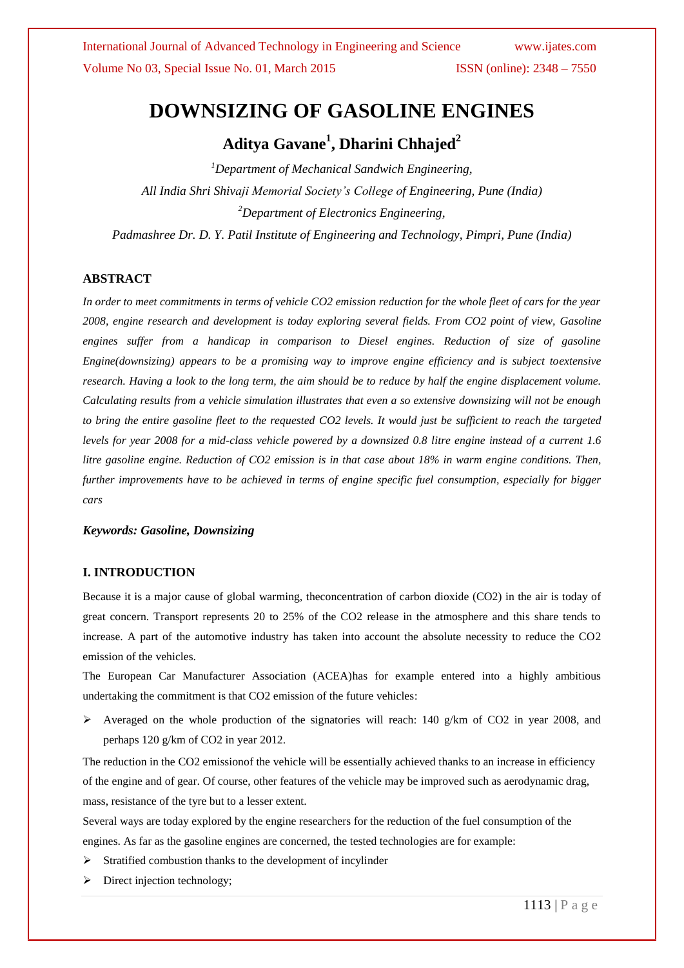# **DOWNSIZING OF GASOLINE ENGINES**

## **Aditya Gavane<sup>1</sup> , Dharini Chhajed<sup>2</sup>**

*<sup>1</sup>Department of Mechanical Sandwich Engineering, All India Shri Shivaji Memorial Society's College of Engineering, Pune (India) <sup>2</sup>Department of Electronics Engineering, Padmashree Dr. D. Y. Patil Institute of Engineering and Technology, Pimpri, Pune (India)*

#### **ABSTRACT**

*In order to meet commitments in terms of vehicle CO2 emission reduction for the whole fleet of cars for the year 2008, engine research and development is today exploring several fields. From CO2 point of view, Gasoline engines suffer from a handicap in comparison to Diesel engines. Reduction of size of gasoline Engine(downsizing) appears to be a promising way to improve engine efficiency and is subject toextensive research. Having a look to the long term, the aim should be to reduce by half the engine displacement volume. Calculating results from a vehicle simulation illustrates that even a so extensive downsizing will not be enough to bring the entire gasoline fleet to the requested CO2 levels. It would just be sufficient to reach the targeted levels for year 2008 for a mid-class vehicle powered by a downsized 0.8 litre engine instead of a current 1.6 litre gasoline engine. Reduction of CO2 emission is in that case about 18% in warm engine conditions. Then, further improvements have to be achieved in terms of engine specific fuel consumption, especially for bigger cars*

#### *Keywords: Gasoline, Downsizing*

## **I. INTRODUCTION**

Because it is a major cause of global warming, theconcentration of carbon dioxide (CO2) in the air is today of great concern. Transport represents 20 to 25% of the CO2 release in the atmosphere and this share tends to increase. A part of the automotive industry has taken into account the absolute necessity to reduce the CO2 emission of the vehicles.

The European Car Manufacturer Association (ACEA)has for example entered into a highly ambitious undertaking the commitment is that CO2 emission of the future vehicles:

 $\triangleright$  Averaged on the whole production of the signatories will reach: 140 g/km of CO2 in year 2008, and perhaps 120 g/km of CO2 in year 2012.

The reduction in the CO2 emissionof the vehicle will be essentially achieved thanks to an increase in efficiency of the engine and of gear. Of course, other features of the vehicle may be improved such as aerodynamic drag, mass, resistance of the tyre but to a lesser extent.

Several ways are today explored by the engine researchers for the reduction of the fuel consumption of the engines. As far as the gasoline engines are concerned, the tested technologies are for example:

- $\triangleright$  Stratified combustion thanks to the development of incylinder
- $\triangleright$  Direct injection technology;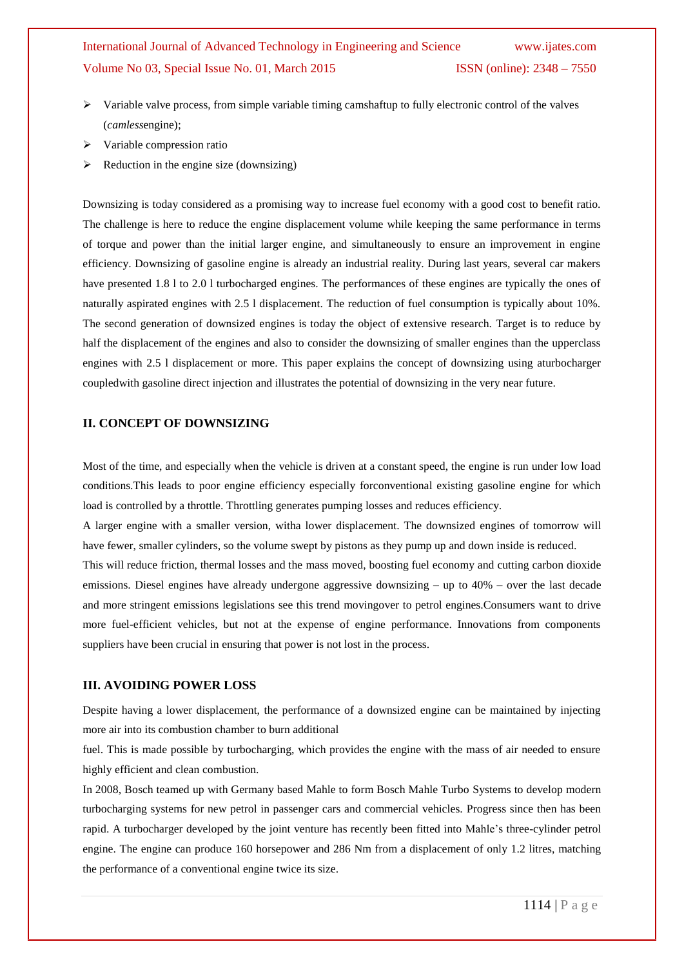## International Journal of Advanced Technology in Engineering and Science www.ijates.com Volume No 03, Special Issue No. 01, March 2015 ISSN (online): 2348 – 7550

- $\triangleright$  Variable valve process, from simple variable timing camshaftup to fully electronic control of the valves (*camless*engine);
- $\triangleright$  Variable compression ratio
- $\triangleright$  Reduction in the engine size (downsizing)

Downsizing is today considered as a promising way to increase fuel economy with a good cost to benefit ratio. The challenge is here to reduce the engine displacement volume while keeping the same performance in terms of torque and power than the initial larger engine, and simultaneously to ensure an improvement in engine efficiency. Downsizing of gasoline engine is already an industrial reality. During last years, several car makers have presented 1.8 l to 2.0 l turbocharged engines. The performances of these engines are typically the ones of naturally aspirated engines with 2.5 l displacement. The reduction of fuel consumption is typically about 10%. The second generation of downsized engines is today the object of extensive research. Target is to reduce by half the displacement of the engines and also to consider the downsizing of smaller engines than the upperclass engines with 2.5 l displacement or more. This paper explains the concept of downsizing using aturbocharger coupledwith gasoline direct injection and illustrates the potential of downsizing in the very near future.

#### **II. CONCEPT OF DOWNSIZING**

Most of the time, and especially when the vehicle is driven at a constant speed, the engine is run under low load conditions.This leads to poor engine efficiency especially forconventional existing gasoline engine for which load is controlled by a throttle. Throttling generates pumping losses and reduces efficiency.

A larger engine with a smaller version, witha lower displacement. The downsized engines of tomorrow will have fewer, smaller cylinders, so the volume swept by pistons as they pump up and down inside is reduced.

This will reduce friction, thermal losses and the mass moved, boosting fuel economy and cutting carbon dioxide emissions. Diesel engines have already undergone aggressive downsizing – up to 40% – over the last decade and more stringent emissions legislations see this trend movingover to petrol engines.Consumers want to drive more fuel-efficient vehicles, but not at the expense of engine performance. Innovations from components suppliers have been crucial in ensuring that power is not lost in the process.

#### **III. AVOIDING POWER LOSS**

Despite having a lower displacement, the performance of a downsized engine can be maintained by injecting more air into its combustion chamber to burn additional

fuel. This is made possible by turbocharging, which provides the engine with the mass of air needed to ensure highly efficient and clean combustion.

In 2008, Bosch teamed up with Germany based Mahle to form Bosch Mahle Turbo Systems to develop modern turbocharging systems for new petrol in passenger cars and commercial vehicles. Progress since then has been rapid. A turbocharger developed by the joint venture has recently been fitted into Mahle's three-cylinder petrol engine. The engine can produce 160 horsepower and 286 Nm from a displacement of only 1.2 litres, matching the performance of a conventional engine twice its size.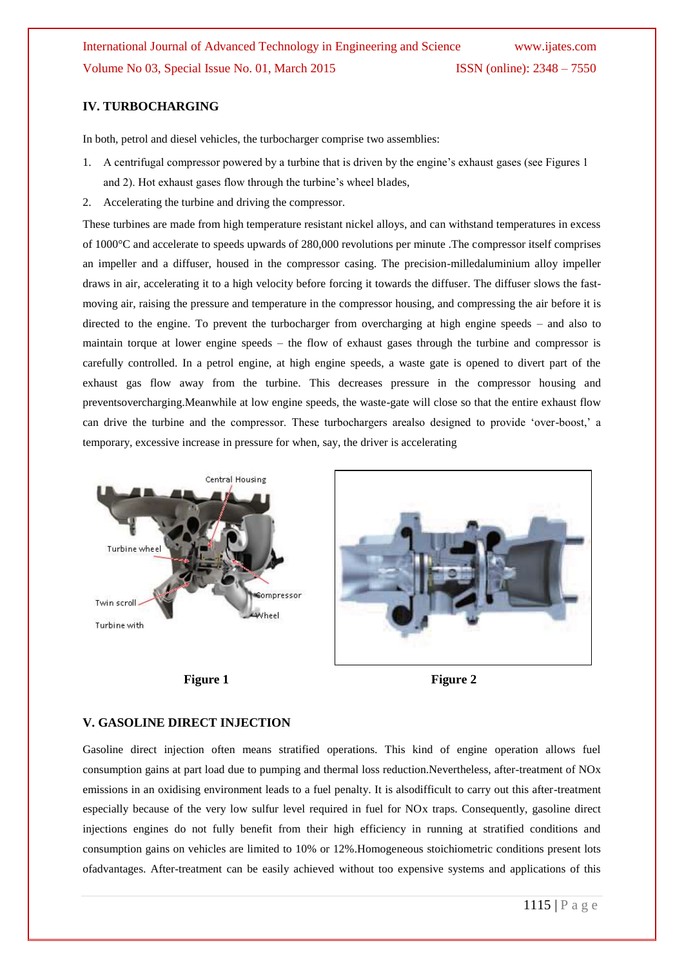### **IV. TURBOCHARGING**

In both, petrol and diesel vehicles, the turbocharger comprise two assemblies:

- 1. A centrifugal compressor powered by a turbine that is driven by the engine's exhaust gases (see Figures 1 and 2). Hot exhaust gases flow through the turbine's wheel blades,
- 2. Accelerating the turbine and driving the compressor.

These turbines are made from high temperature resistant nickel alloys, and can withstand temperatures in excess of 1000°C and accelerate to speeds upwards of 280,000 revolutions per minute .The compressor itself comprises an impeller and a diffuser, housed in the compressor casing. The precision-milledaluminium alloy impeller draws in air, accelerating it to a high velocity before forcing it towards the diffuser. The diffuser slows the fastmoving air, raising the pressure and temperature in the compressor housing, and compressing the air before it is directed to the engine. To prevent the turbocharger from overcharging at high engine speeds – and also to maintain torque at lower engine speeds – the flow of exhaust gases through the turbine and compressor is carefully controlled. In a petrol engine, at high engine speeds, a waste gate is opened to divert part of the exhaust gas flow away from the turbine. This decreases pressure in the compressor housing and preventsovercharging.Meanwhile at low engine speeds, the waste-gate will close so that the entire exhaust flow can drive the turbine and the compressor. These turbochargers arealso designed to provide 'over-boost,' a temporary, excessive increase in pressure for when, say, the driver is accelerating









#### **V. GASOLINE DIRECT INJECTION**

Gasoline direct injection often means stratified operations. This kind of engine operation allows fuel consumption gains at part load due to pumping and thermal loss reduction.Nevertheless, after-treatment of NOx emissions in an oxidising environment leads to a fuel penalty. It is alsodifficult to carry out this after-treatment especially because of the very low sulfur level required in fuel for NOx traps. Consequently, gasoline direct injections engines do not fully benefit from their high efficiency in running at stratified conditions and consumption gains on vehicles are limited to 10% or 12%.Homogeneous stoichiometric conditions present lots ofadvantages. After-treatment can be easily achieved without too expensive systems and applications of this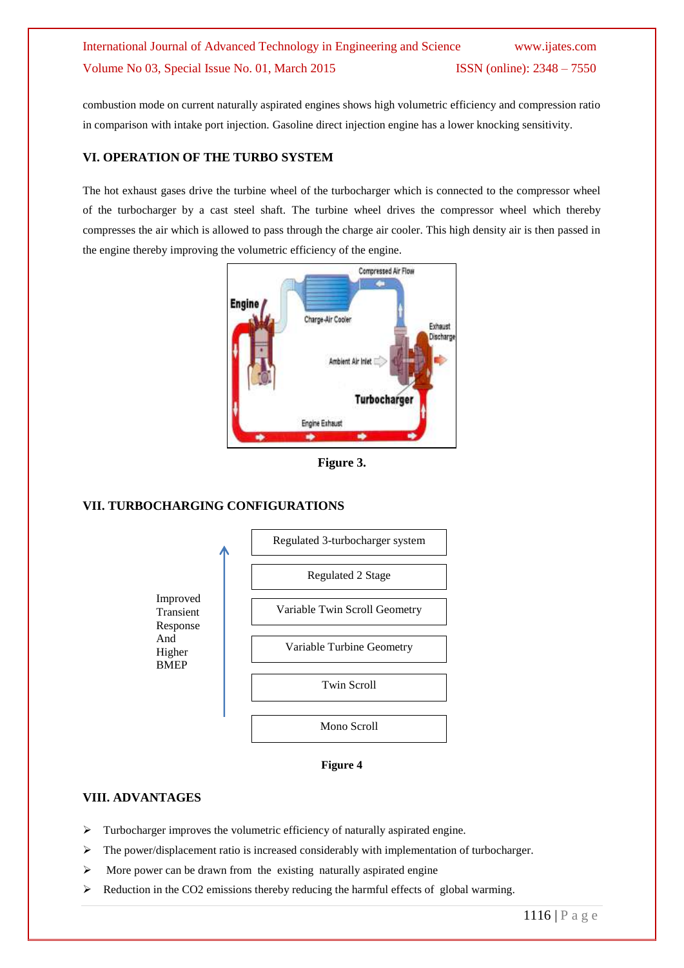## International Journal of Advanced Technology in Engineering and Science www.ijates.com Volume No 03, Special Issue No. 01, March 2015 ISSN (online): 2348 – 7550

combustion mode on current naturally aspirated engines shows high volumetric efficiency and compression ratio in comparison with intake port injection. Gasoline direct injection engine has a lower knocking sensitivity.

## **VI. OPERATION OF THE TURBO SYSTEM**

The hot exhaust gases drive the turbine wheel of the turbocharger which is connected to the compressor wheel of the turbocharger by a cast steel shaft. The turbine wheel drives the compressor wheel which thereby compresses the air which is allowed to pass through the charge air cooler. This high density air is then passed in the engine thereby improving the volumetric efficiency of the engine.



**Figure 3.**

### **VII. TURBOCHARGING CONFIGURATIONS**



**Figure 4**

## **VIII. ADVANTAGES**

- > Turbocharger improves the volumetric efficiency of naturally aspirated engine.
- $\triangleright$  The power/displacement ratio is increased considerably with implementation of turbocharger.
- $\triangleright$  More power can be drawn from the existing naturally aspirated engine
- $\triangleright$  Reduction in the CO2 emissions thereby reducing the harmful effects of global warming.